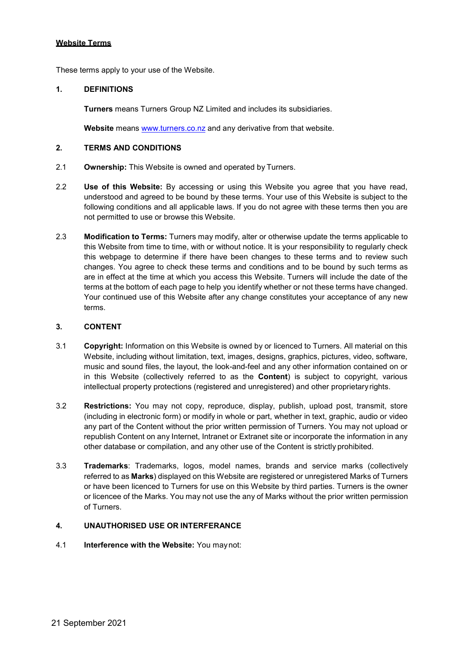These terms apply to your use of the Website.

#### **1. DEFINITIONS**

**Turners** means Turners Group NZ Limited and includes its subsidiaries.

**Website** means [www.turners.co.nz](http://www.turners.co.nz/) and any derivative from that website.

#### **2. TERMS AND CONDITIONS**

- 2.1 **Ownership:** This Website is owned and operated by Turners.
- 2.2 **Use of this Website:** By accessing or using this Website you agree that you have read, understood and agreed to be bound by these terms. Your use of this Website is subject to the following conditions and all applicable laws. If you do not agree with these terms then you are not permitted to use or browse this Website.
- 2.3 **Modification to Terms:** Turners may modify, alter or otherwise update the terms applicable to this Website from time to time, with or without notice. It is your responsibility to regularly check this webpage to determine if there have been changes to these terms and to review such changes. You agree to check these terms and conditions and to be bound by such terms as are in effect at the time at which you access this Website. Turners will include the date of the terms at the bottom of each page to help you identify whether or not these terms have changed. Your continued use of this Website after any change constitutes your acceptance of any new terms.

# **3. CONTENT**

- 3.1 **Copyright:** Information on this Website is owned by or licenced to Turners. All material on this Website, including without limitation, text, images, designs, graphics, pictures, video, software, music and sound files, the layout, the look-and-feel and any other information contained on or in this Website (collectively referred to as the **Content**) is subject to copyright, various intellectual property protections (registered and unregistered) and other proprietaryrights.
- 3.2 **Restrictions:** You may not copy, reproduce, display, publish, upload post, transmit, store (including in electronic form) or modify in whole or part, whether in text, graphic, audio or video any part of the Content without the prior written permission of Turners. You may not upload or republish Content on any Internet, Intranet or Extranet site or incorporate the information in any other database or compilation, and any other use of the Content is strictly prohibited.
- 3.3 **Trademarks**: Trademarks, logos, model names, brands and service marks (collectively referred to as **Marks**) displayed on this Website are registered or unregistered Marks of Turners or have been licenced to Turners for use on this Website by third parties. Turners is the owner or licencee of the Marks. You may not use the any of Marks without the prior written permission of Turners.

# **4. UNAUTHORISED USE OR INTERFERANCE**

4.1 **Interference with the Website:** You maynot: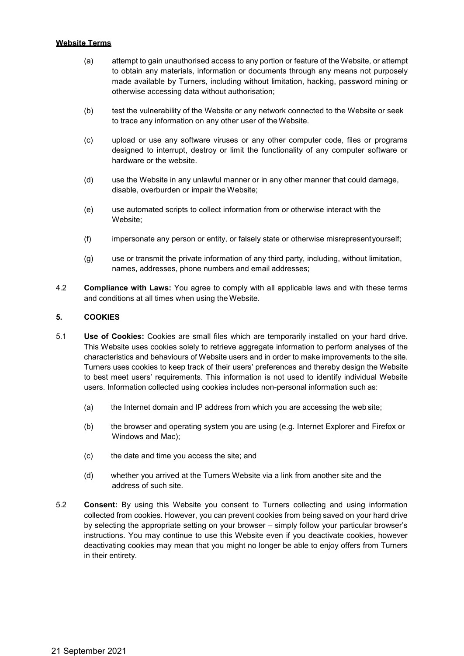- (a) attempt to gain unauthorised access to any portion or feature of the Website, or attempt to obtain any materials, information or documents through any means not purposely made available by Turners, including without limitation, hacking, password mining or otherwise accessing data without authorisation;
- (b) test the vulnerability of the Website or any network connected to the Website or seek to trace any information on any other user of the Website.
- (c) upload or use any software viruses or any other computer code, files or programs designed to interrupt, destroy or limit the functionality of any computer software or hardware or the website.
- (d) use the Website in any unlawful manner or in any other manner that could damage, disable, overburden or impair the Website;
- (e) use automated scripts to collect information from or otherwise interact with the Website;
- (f) impersonate any person or entity, or falsely state or otherwise misrepresentyourself;
- (g) use or transmit the private information of any third party, including, without limitation, names, addresses, phone numbers and email addresses;
- 4.2 **Compliance with Laws:** You agree to comply with all applicable laws and with these terms and conditions at all times when using the Website.

# **5. COOKIES**

- 5.1 **Use of Cookies:** Cookies are small files which are temporarily installed on your hard drive. This Website uses cookies solely to retrieve aggregate information to perform analyses of the characteristics and behaviours of Website users and in order to make improvements to the site. Turners uses cookies to keep track of their users' preferences and thereby design the Website to best meet users' requirements. This information is not used to identify individual Website users. Information collected using cookies includes non-personal information such as:
	- (a) the Internet domain and IP address from which you are accessing the web site;
	- (b) the browser and operating system you are using (e.g. Internet Explorer and Firefox or Windows and Mac);
	- (c) the date and time you access the site; and
	- (d) whether you arrived at the Turners Website via a link from another site and the address of such site.
- 5.2 **Consent:** By using this Website you consent to Turners collecting and using information collected from cookies. However, you can prevent cookies from being saved on your hard drive by selecting the appropriate setting on your browser – simply follow your particular browser's instructions. You may continue to use this Website even if you deactivate cookies, however deactivating cookies may mean that you might no longer be able to enjoy offers from Turners in their entirety.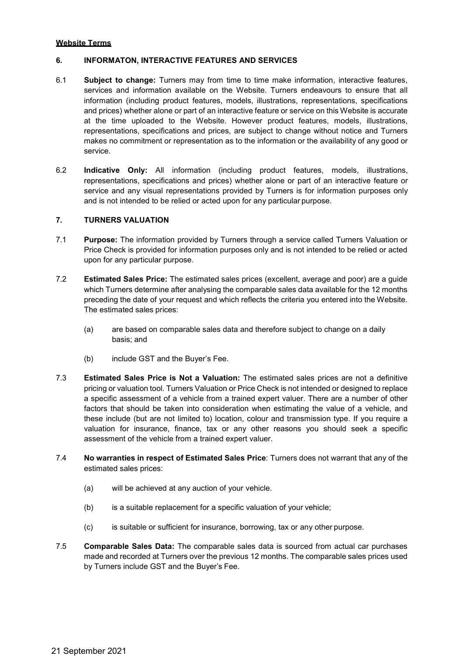## **6. INFORMATON, INTERACTIVE FEATURES AND SERVICES**

- 6.1 **Subject to change:** Turners may from time to time make information, interactive features, services and information available on the Website. Turners endeavours to ensure that all information (including product features, models, illustrations, representations, specifications and prices) whether alone or part of an interactive feature or service on this Website is accurate at the time uploaded to the Website. However product features, models, illustrations, representations, specifications and prices, are subject to change without notice and Turners makes no commitment or representation as to the information or the availability of any good or service.
- 6.2 **Indicative Only:** All information (including product features, models, illustrations, representations, specifications and prices) whether alone or part of an interactive feature or service and any visual representations provided by Turners is for information purposes only and is not intended to be relied or acted upon for any particular purpose.

# **7. TURNERS VALUATION**

- 7.1 **Purpose:** The information provided by Turners through a service called Turners Valuation or Price Check is provided for information purposes only and is not intended to be relied or acted upon for any particular purpose.
- 7.2 **Estimated Sales Price:** The estimated sales prices (excellent, average and poor) are a guide which Turners determine after analysing the comparable sales data available for the 12 months preceding the date of your request and which reflects the criteria you entered into the Website. The estimated sales prices:
	- (a) are based on comparable sales data and therefore subject to change on a daily basis; and
	- (b) include GST and the Buyer's Fee.
- 7.3 **Estimated Sales Price is Not a Valuation:** The estimated sales prices are not a definitive pricing or valuation tool. Turners Valuation or Price Check is not intended or designed to replace a specific assessment of a vehicle from a trained expert valuer. There are a number of other factors that should be taken into consideration when estimating the value of a vehicle, and these include (but are not limited to) location, colour and transmission type. If you require a valuation for insurance, finance, tax or any other reasons you should seek a specific assessment of the vehicle from a trained expert valuer.
- 7.4 **No warranties in respect of Estimated Sales Price**: Turners does not warrant that any of the estimated sales prices:
	- (a) will be achieved at any auction of your vehicle.
	- (b) is a suitable replacement for a specific valuation of your vehicle;
	- (c) is suitable or sufficient for insurance, borrowing, tax or any other purpose.
- 7.5 **Comparable Sales Data:** The comparable sales data is sourced from actual car purchases made and recorded at Turners over the previous 12 months. The comparable sales prices used by Turners include GST and the Buyer's Fee.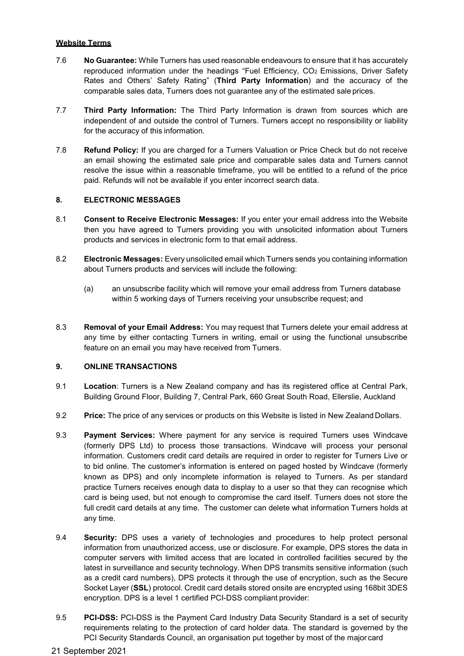- 7.6 **No Guarantee:** While Turners has used reasonable endeavours to ensure that it has accurately reproduced information under the headings "Fuel Efficiency, CO<sub>2</sub> Emissions, Driver Safety Rates and Others' Safety Rating" (**Third Party Information**) and the accuracy of the comparable sales data, Turners does not guarantee any of the estimated sale prices.
- 7.7 **Third Party Information:** The Third Party Information is drawn from sources which are independent of and outside the control of Turners. Turners accept no responsibility or liability for the accuracy of this information.
- 7.8 **Refund Policy:** If you are charged for a Turners Valuation or Price Check but do not receive an email showing the estimated sale price and comparable sales data and Turners cannot resolve the issue within a reasonable timeframe, you will be entitled to a refund of the price paid. Refunds will not be available if you enter incorrect search data.

# **8. ELECTRONIC MESSAGES**

- 8.1 **Consent to Receive Electronic Messages:** If you enter your email address into the Website then you have agreed to Turners providing you with unsolicited information about Turners products and services in electronic form to that email address.
- 8.2 **Electronic Messages:** Every unsolicited email which Turners sends you containing information about Turners products and services will include the following:
	- (a) an unsubscribe facility which will remove your email address from Turners database within 5 working days of Turners receiving your unsubscribe request; and
- 8.3 **Removal of your Email Address:** You may request that Turners delete your email address at any time by either contacting Turners in writing, email or using the functional unsubscribe feature on an email you may have received from Turners.

# **9. ONLINE TRANSACTIONS**

- 9.1 **Location**: Turners is a New Zealand company and has its registered office at Central Park, Building Ground Floor, Building 7, Central Park, 660 Great South Road, Ellerslie, Auckland
- 9.2 **Price:** The price of any services or products on this Website is listed in New Zealand Dollars.
- 9.3 **Payment Services:** Where payment for any service is required Turners uses Windcave (formerly DPS Ltd) to process those transactions. Windcave will process your personal information. Customers credit card details are required in order to register for Turners Live or to bid online. The customer's information is entered on paged hosted by Windcave (formerly known as DPS) and only incomplete information is relayed to Turners. As per standard practice Turners receives enough data to display to a user so that they can recognise which card is being used, but not enough to compromise the card itself. Turners does not store the full credit card details at any time. The customer can delete what information Turners holds at any time.
- 9.4 **Security:** DPS uses a variety of technologies and procedures to help protect personal information from unauthorized access, use or disclosure. For example, DPS stores the data in computer servers with limited access that are located in controlled facilities secured by the latest in surveillance and security technology. When DPS transmits sensitive information (such as a credit card numbers), DPS protects it through the use of encryption, such as the Secure Socket Layer (**SSL**) protocol. Credit card details stored onsite are encrypted using 168bit 3DES encryption. DPS is a level 1 certified PCI-DSS compliant provider:
- 9.5 **PCI-DSS:** PCI-DSS is the Payment Card Industry Data Security Standard is a set of security requirements relating to the protection of card holder data. The standard is governed by the PCI Security Standards Council, an organisation put together by most of the major card
- 21 September 2021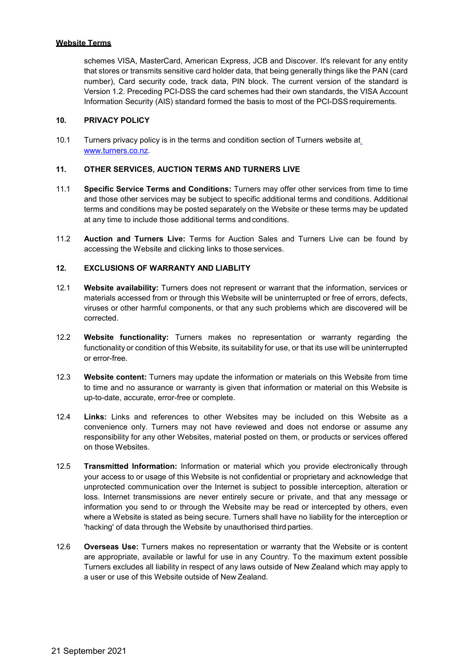schemes VISA, MasterCard, American Express, JCB and Discover. It's relevant for any entity that stores or transmits sensitive card holder data, that being generally things like the PAN (card number), Card security code, track data, PIN block. The current version of the standard is Version 1.2. Preceding PCI-DSS the card schemes had their own standards, the VISA Account Information Security (AIS) standard formed the basis to most of the PCI-DSSrequirements.

#### **10. PRIVACY POLICY**

10.1 Turners privacy policy is in the terms and condition section of Turners website a[t](http://www.turners.co.nz/) [www.turners.co.nz.](http://www.turners.co.nz/)

# **11. OTHER SERVICES, AUCTION TERMS AND TURNERS LIVE**

- 11.1 **Specific Service Terms and Conditions:** Turners may offer other services from time to time and those other services may be subject to specific additional terms and conditions. Additional terms and conditions may be posted separately on the Website or these terms may be updated at any time to include those additional terms and conditions.
- 11.2 **Auction and Turners Live:** Terms for Auction Sales and Turners Live can be found by accessing the Website and clicking links to those services.

#### **12. EXCLUSIONS OF WARRANTY AND LIABLITY**

- 12.1 **Website availability:** Turners does not represent or warrant that the information, services or materials accessed from or through this Website will be uninterrupted or free of errors, defects, viruses or other harmful components, or that any such problems which are discovered will be corrected.
- 12.2 **Website functionality:** Turners makes no representation or warranty regarding the functionality or condition of this Website, its suitability for use, or that its use will be uninterrupted or error-free.
- 12.3 **Website content:** Turners may update the information or materials on this Website from time to time and no assurance or warranty is given that information or material on this Website is up-to-date, accurate, error-free or complete.
- 12.4 **Links:** Links and references to other Websites may be included on this Website as a convenience only. Turners may not have reviewed and does not endorse or assume any responsibility for any other Websites, material posted on them, or products or services offered on those Websites.
- 12.5 **Transmitted Information:** Information or material which you provide electronically through your access to or usage of this Website is not confidential or proprietary and acknowledge that unprotected communication over the Internet is subject to possible interception, alteration or loss. Internet transmissions are never entirely secure or private, and that any message or information you send to or through the Website may be read or intercepted by others, even where a Website is stated as being secure. Turners shall have no liability for the interception or 'hacking' of data through the Website by unauthorised third parties.
- 12.6 **Overseas Use:** Turners makes no representation or warranty that the Website or is content are appropriate, available or lawful for use in any Country. To the maximum extent possible Turners excludes all liability in respect of any laws outside of New Zealand which may apply to a user or use of this Website outside of New Zealand.